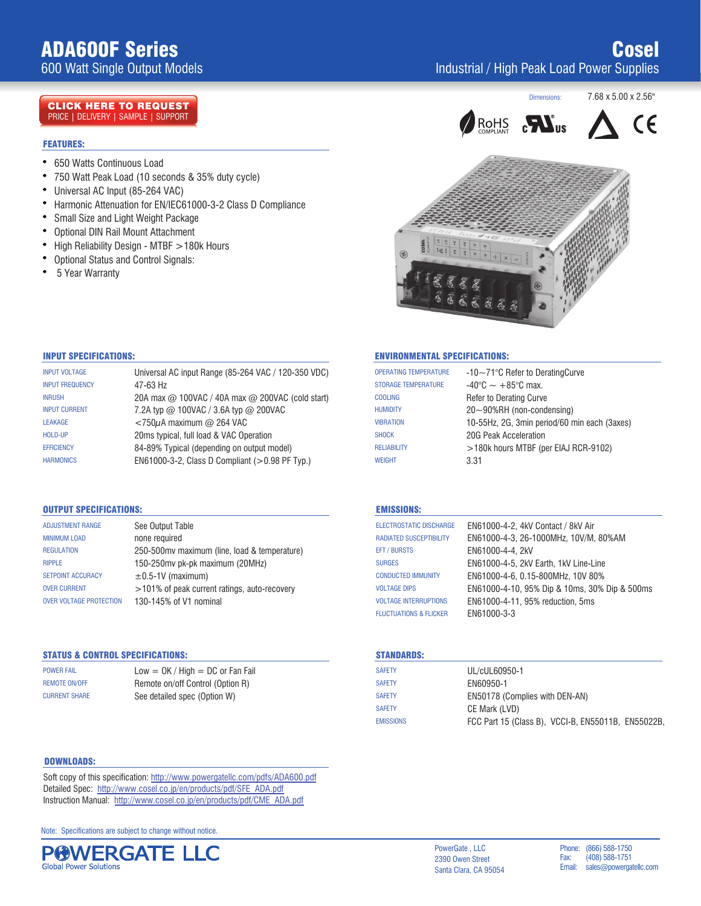# ADA600F Series

600 Watt Single Output Models

### CLICK HERE TO REQUEST PRICE | DELIVERY | SAMPLE | SUPPORT

#### **FEATURES:**  $\overline{r}$  which peak  $\overline{r}$  watter  $\overline{r}$  as  $35\%$  duty cycle  $\overline{r}$  as  $35\%$  duty cycle

- 650 Watts Continuous Load
- 750 Watt Peak Load (10 seconds & 35% duty cycle)
- Universal AC Input (85-264 VAC)
- Harmonic Attenuation for EN/IEC61000-3-2 Class D Compliance
- $\bullet$ Small Size and Light Weight Package
- $\bullet$ Optional DIN Rail Mount Attachment
- $\bullet$ High Reliability Design - MTBF  $>$  180k Hours
- $\bullet$ Optional Status and Control Signals:
- $\bullet$ 5 Year Warranty









### INPUT SPECIFICATIONS:

| <b>INPUT VOLTAGE</b>   | Universal AC input Range (85-264 VAC / 120-350 VDC)            |
|------------------------|----------------------------------------------------------------|
| <b>INPUT FREQUENCY</b> | 47-63 Hz                                                       |
| <b>INRUSH</b>          | 20A max $\omega$ 100VAC / 40A max $\omega$ 200VAC (cold start) |
| <b>INPUT CURRENT</b>   | 7.2A typ $@$ 100VAC / 3.6A typ $@$ 200VAC                      |
| <b>LEAKAGE</b>         | $<$ 750 $\mu$ A maximum @ 264 VAC                              |
| HOLD-UP                | 20ms typical, full load & VAC Operation                        |
| <b>EFFICIENCY</b>      | 84-89% Typical (depending on output model)                     |
| <b>HARMONICS</b>       | EN61000-3-2, Class D Compliant (>0.98 PF Typ.)                 |

## OUTPUT SPECIFICATIONS:

| <b>ADJUSTMENT RANGE</b>        | See Output Table                              |
|--------------------------------|-----------------------------------------------|
| <b>MINIMUM LOAD</b>            | none required                                 |
| <b>REGULATION</b>              | 250-500 mv maximum (line, load & temperature) |
| <b>RIPPLE</b>                  | 150-250mv pk-pk maximum (20MHz)               |
| <b>SETPOINT ACCURACY</b>       | $\pm$ 0.5-1V (maximum)                        |
| <b>OVER CURRENT</b>            | >101% of peak current ratings, auto-recovery  |
| <b>OVER VOLTAGE PROTECTION</b> | 130-145% of V1 nominal                        |

# STATUS & CONTROL SPECIFICATIONS:

CURRENT SHARE See detailed spec (Option W) REMOTE ON/OFF **REMOTE ON/OFF** Remote on/off Control (Option R) POWER FAIL  $Low = OK / High = DC or Fan Fail$ 

#### DOWNLOADS:

Soft copy of this specification: http://www.powergatellc.com/pdfs/ADA600.pdf Detailed Spec: http://www.cosel.co.jp/en/products/pdf/SFE\_ADA.pdf Instruction Manual: http://www.cosel.co.jp/en/products/pdf/CME\_ADA.pdf

Note: Specifications are subject to change without notice.



#### ENVIRONMENTAL SPECIFICATIONS:

| <b>OPERATING TEMPERATURE</b> | $-10\sim$ 71°C Refer to Derating Curve       |
|------------------------------|----------------------------------------------|
| <b>STORAGE TEMPERATURE</b>   | $-40^{\circ}$ C $\sim +85^{\circ}$ C max.    |
| <b>COOLING</b>               | <b>Refer to Derating Curve</b>               |
| <b>HUMIDITY</b>              | $20\neg 90\%RH$ (non-condensing)             |
| <b>VIBRATION</b>             | 10-55Hz, 2G, 3min period/60 min each (3axes) |
| <b>SHOCK</b>                 | 20G Peak Acceleration                        |
| <b>RELIABILITY</b>           | >180k hours MTBF (per EIAJ RCR-9102)         |
| <b>WEIGHT</b>                | 3.31                                         |
|                              |                                              |

#### EMISSIONS:

| EN61000-4-2, 4kV Contact / 8kV Air            |
|-----------------------------------------------|
| EN61000-4-3, 26-1000MHz, 10V/M, 80%AM         |
| EN61000-4-4, 2kV                              |
| EN61000-4-5, 2kV Earth, 1kV Line-Line         |
| EN61000-4-6, 0.15-800MHz, 10V 80%             |
| EN61000-4-10, 95% Dip & 10ms, 30% Dip & 500ms |
| EN61000-4-11, 95% reduction, 5ms              |
| EN61000-3-3                                   |
|                                               |

#### STANDARDS:

| <b>SAFETY</b>    | UL/cUL60950-1                                      |
|------------------|----------------------------------------------------|
| <b>SAFETY</b>    | EN60950-1                                          |
| <b>SAFETY</b>    | EN50178 (Complies with DEN-AN)                     |
| <b>SAFETY</b>    | CE Mark (LVD)                                      |
| <b>EMISSIONS</b> | FCC Part 15 (Class B), VCCI-B, EN55011B, EN55022B, |

2390 Owen Street Fax: (408) 588 Santa Clara, CA 95054 **Email:** sales@powergat

PowerGate, LLC Phone: (866) 588-1750 Phone: (866) 588-1750<br>Fax: (408) 588-1751 Fax: (408) 588-1751<br>Email: sales@powerga sales@powergatellc.com Instruction Manual: http://www.cosel.co.jp/en/products/pdf/CME\_ADA.pdf